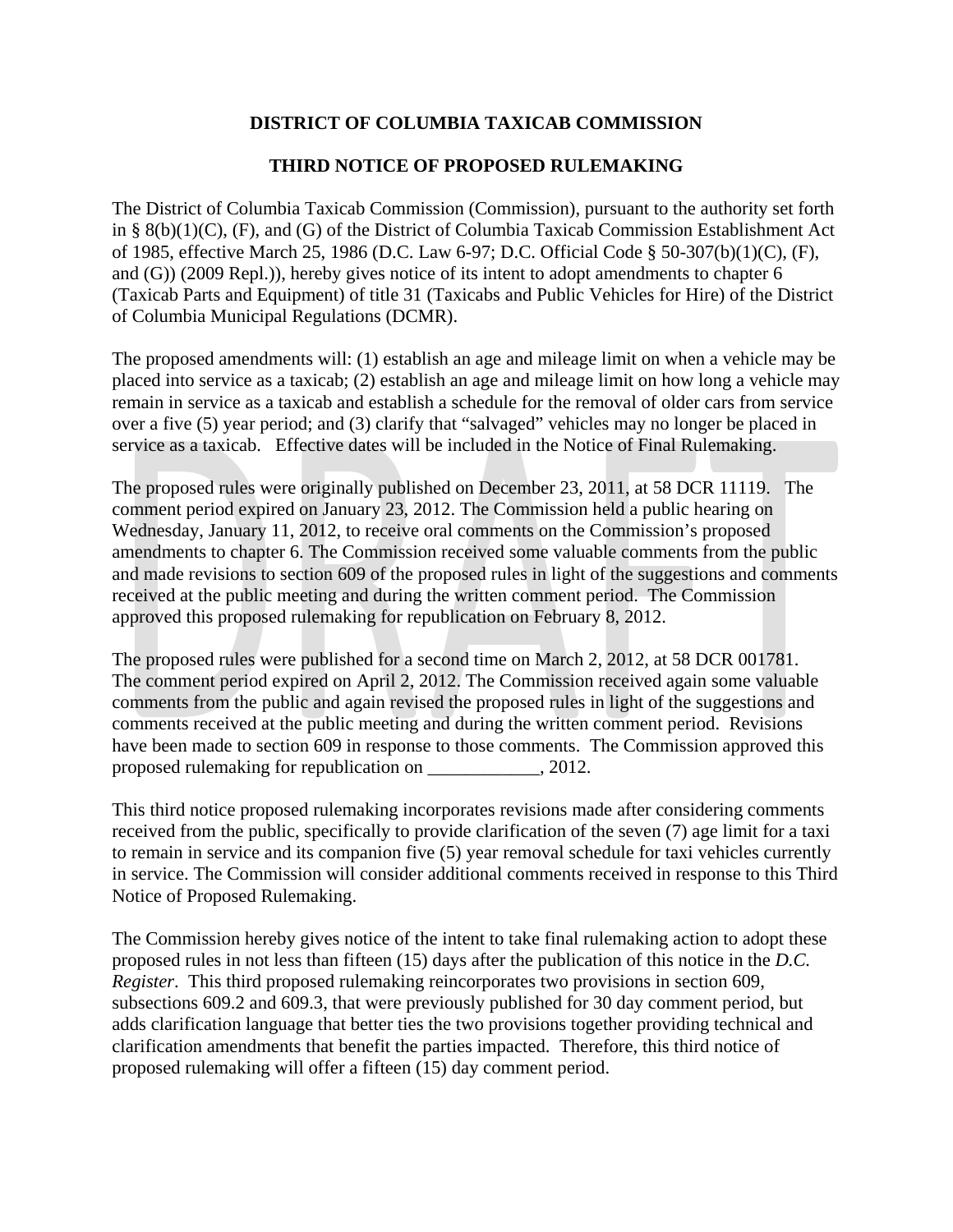## **DISTRICT OF COLUMBIA TAXICAB COMMISSION**

## **THIRD NOTICE OF PROPOSED RULEMAKING**

The District of Columbia Taxicab Commission (Commission), pursuant to the authority set forth in § 8(b)(1)(C), (F), and (G) of the District of Columbia Taxicab Commission Establishment Act of 1985, effective March 25, 1986 (D.C. Law 6-97; D.C. Official Code § 50-307(b)(1)(C), (F), and (G)) (2009 Repl.)), hereby gives notice of its intent to adopt amendments to chapter 6 (Taxicab Parts and Equipment) of title 31 (Taxicabs and Public Vehicles for Hire) of the District of Columbia Municipal Regulations (DCMR).

The proposed amendments will: (1) establish an age and mileage limit on when a vehicle may be placed into service as a taxicab; (2) establish an age and mileage limit on how long a vehicle may remain in service as a taxicab and establish a schedule for the removal of older cars from service over a five (5) year period; and (3) clarify that "salvaged" vehicles may no longer be placed in service as a taxicab. Effective dates will be included in the Notice of Final Rulemaking.

The proposed rules were originally published on December 23, 2011, at 58 DCR 11119. The comment period expired on January 23, 2012. The Commission held a public hearing on Wednesday, January 11, 2012, to receive oral comments on the Commission's proposed amendments to chapter 6. The Commission received some valuable comments from the public and made revisions to section 609 of the proposed rules in light of the suggestions and comments received at the public meeting and during the written comment period. The Commission approved this proposed rulemaking for republication on February 8, 2012.

The proposed rules were published for a second time on March 2, 2012, at 58 DCR 001781. The comment period expired on April 2, 2012. The Commission received again some valuable comments from the public and again revised the proposed rules in light of the suggestions and comments received at the public meeting and during the written comment period. Revisions have been made to section 609 in response to those comments. The Commission approved this proposed rulemaking for republication on \_\_\_\_\_\_\_\_\_\_\_\_, 2012.

This third notice proposed rulemaking incorporates revisions made after considering comments received from the public, specifically to provide clarification of the seven (7) age limit for a taxi to remain in service and its companion five (5) year removal schedule for taxi vehicles currently in service. The Commission will consider additional comments received in response to this Third Notice of Proposed Rulemaking.

The Commission hereby gives notice of the intent to take final rulemaking action to adopt these proposed rules in not less than fifteen (15) days after the publication of this notice in the *D.C. Register*. This third proposed rulemaking reincorporates two provisions in section 609, subsections 609.2 and 609.3, that were previously published for 30 day comment period, but adds clarification language that better ties the two provisions together providing technical and clarification amendments that benefit the parties impacted. Therefore, this third notice of proposed rulemaking will offer a fifteen (15) day comment period.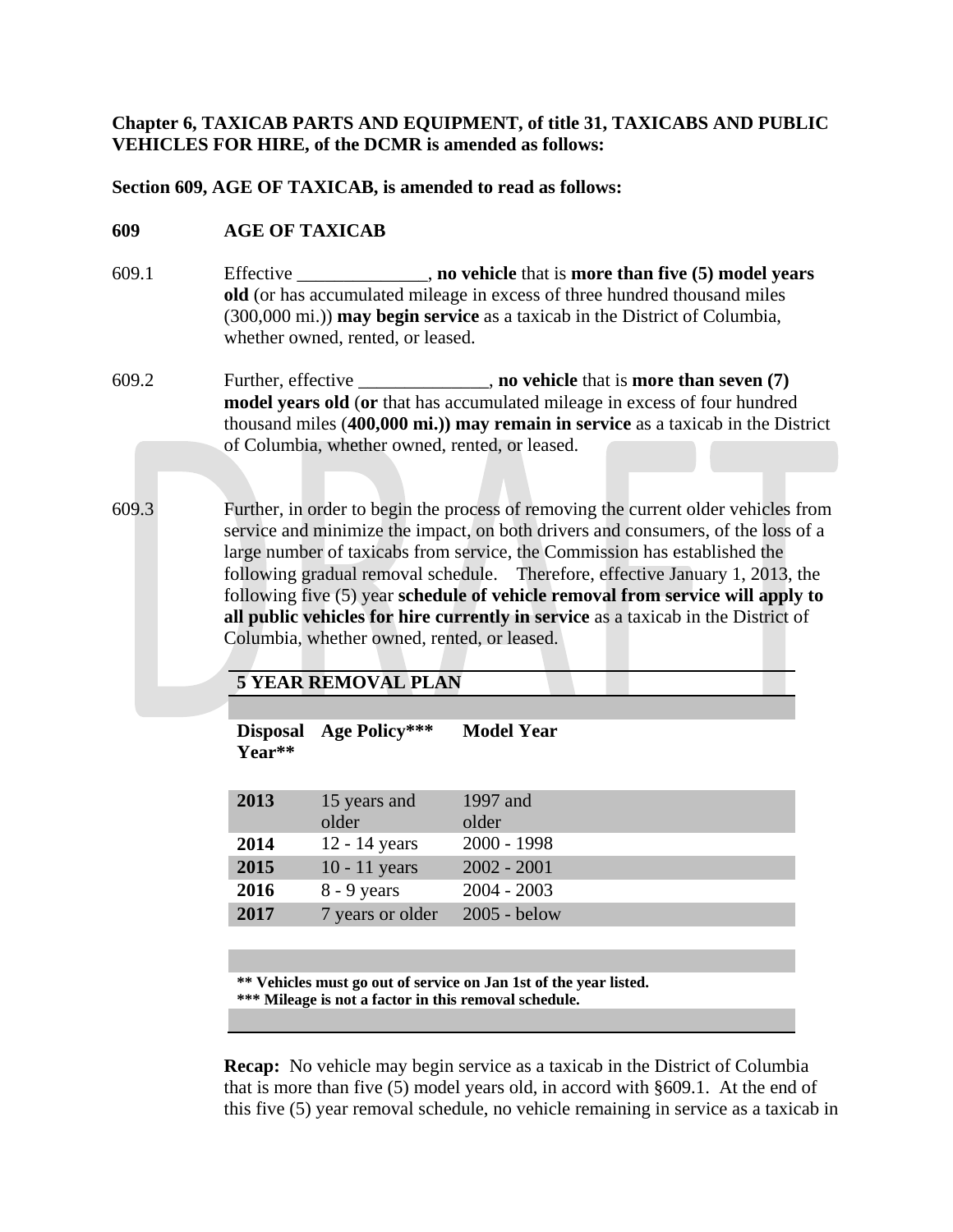**Chapter 6, TAXICAB PARTS AND EQUIPMENT, of title 31, TAXICABS AND PUBLIC VEHICLES FOR HIRE, of the DCMR is amended as follows:**

**Section 609, AGE OF TAXICAB, is amended to read as follows:**

## **609 AGE OF TAXICAB**

- 609.1 Effective \_\_\_\_\_\_\_\_\_\_\_\_\_\_, **no vehicle** that is **more than five (5) model years old** (or has accumulated mileage in excess of three hundred thousand miles (300,000 mi.)) **may begin service** as a taxicab in the District of Columbia, whether owned, rented, or leased.
- 609.2 Further, effective \_\_\_\_\_\_\_\_\_\_\_\_\_\_, **no vehicle** that is **more than seven (7) model years old** (**or** that has accumulated mileage in excess of four hundred thousand miles (**400,000 mi.)) may remain in service** as a taxicab in the District of Columbia, whether owned, rented, or leased.
- 609.3 Further, in order to begin the process of removing the current older vehicles from service and minimize the impact, on both drivers and consumers, of the loss of a large number of taxicabs from service, the Commission has established the following gradual removal schedule. Therefore, effective January 1, 2013, the following five (5) year **schedule of vehicle removal from service will apply to all public vehicles for hire currently in service** as a taxicab in the District of Columbia, whether owned, rented, or leased.

## **5 YEAR REMOVAL PLAN**

| <b>Disposal</b><br>Year** | Age Policy***         | <b>Model Year</b> |
|---------------------------|-----------------------|-------------------|
| 2013                      | 15 years and<br>older | 1997 and<br>older |
| 2014                      | 12 - 14 years         | $2000 - 1998$     |
| 2015                      | $10 - 11$ years       | $2002 - 2001$     |
| 2016                      | $8 - 9$ years         | $2004 - 2003$     |
| 2017                      | 7 years or older      | $2005 -$ below    |

**\*\* Vehicles must go out of service on Jan 1st of the year listed.**

**\*\*\* Mileage is not a factor in this removal schedule.**

**Recap:** No vehicle may begin service as a taxicab in the District of Columbia that is more than five (5) model years old, in accord with §609.1. At the end of this five (5) year removal schedule, no vehicle remaining in service as a taxicab in